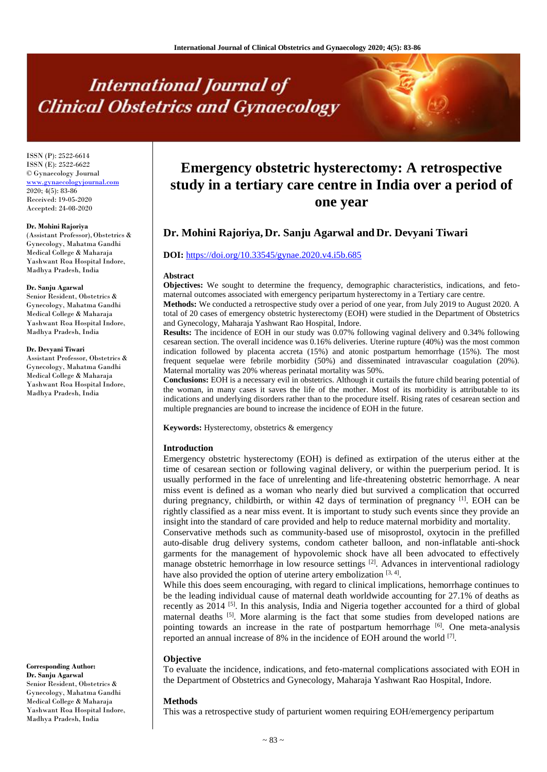# **International Journal of Clinical Obstetrics and Gynaecology**

ISSN (P): 2522-6614 ISSN (E): 2522-6622 © Gynaecology Journal <www.gynaecologyjournal.com> 2020; 4(5): 83-86 Received: 19-05-2020 Accepted: 24-08-2020

#### **Dr. Mohini Rajoriya**

(Assistant Professor), Obstetrics & Gynecology, Mahatma Gandhi Medical College & Maharaja Yashwant Roa Hospital Indore, Madhya Pradesh, India

#### **Dr. Sanju Agarwal**

Senior Resident, Obstetrics & Gynecology, Mahatma Gandhi Medical College & Maharaja Yashwant Roa Hospital Indore, Madhya Pradesh, India

### **Dr. Devyani Tiwari**

Assistant Professor, Obstetrics & Gynecology, Mahatma Gandhi Medical College & Maharaja Yashwant Roa Hospital Indore, Madhya Pradesh, India

**Corresponding Author: Dr. Sanju Agarwal** Senior Resident, Obstetrics & Gynecology, Mahatma Gandhi Medical College & Maharaja Yashwant Roa Hospital Indore, Madhya Pradesh, India

# **Emergency obstetric hysterectomy: A retrospective study in a tertiary care centre in India over a period of one year**

# **Dr. Mohini Rajoriya, Dr. Sanju Agarwal and Dr. Devyani Tiwari**

## **DOI:** <https://doi.org/10.33545/gynae.2020.v4.i5b.685>

#### **Abstract**

**Objectives:** We sought to determine the frequency, demographic characteristics, indications, and fetomaternal outcomes associated with emergency peripartum hysterectomy in a Tertiary care centre.

**Methods:** We conducted a retrospective study over a period of one year, from July 2019 to August 2020. A total of 20 cases of emergency obstetric hysterectomy (EOH) were studied in the Department of Obstetrics and Gynecology, Maharaja Yashwant Rao Hospital, Indore.

**Results:** The incidence of EOH in our study was 0.07% following vaginal delivery and 0.34% following cesarean section. The overall incidence was 0.16% deliveries. Uterine rupture (40%) was the most common indication followed by placenta accreta (15%) and atonic postpartum hemorrhage (15%). The most frequent sequelae were febrile morbidity (50%) and disseminated intravascular coagulation (20%). Maternal mortality was 20% whereas perinatal mortality was 50%.

**Conclusions:** EOH is a necessary evil in obstetrics. Although it curtails the future child bearing potential of the woman, in many cases it saves the life of the mother. Most of its morbidity is attributable to its indications and underlying disorders rather than to the procedure itself. Rising rates of cesarean section and multiple pregnancies are bound to increase the incidence of EOH in the future.

**Keywords:** Hysterectomy, obstetrics & emergency

#### **Introduction**

Emergency obstetric hysterectomy (EOH) is defined as extirpation of the uterus either at the time of cesarean section or following vaginal delivery, or within the puerperium period. It is usually performed in the face of unrelenting and life-threatening obstetric hemorrhage. A near miss event is defined as a woman who nearly died but survived a complication that occurred during pregnancy, childbirth, or within 42 days of termination of pregnancy <sup>[1]</sup>. EOH can be rightly classified as a near miss event. It is important to study such events since they provide an insight into the standard of care provided and help to reduce maternal morbidity and mortality.

Conservative methods such as community-based use of misoprostol, oxytocin in the prefilled auto-disable drug delivery systems, condom catheter balloon, and non-inflatable anti-shock garments for the management of hypovolemic shock have all been advocated to effectively manage obstetric hemorrhage in low resource settings  $[2]$ . Advances in interventional radiology have also provided the option of uterine artery embolization [3,4].

While this does seem encouraging, with regard to clinical implications, hemorrhage continues to be the leading individual cause of maternal death worldwide accounting for 27.1% of deaths as recently as 2014<sup>[5]</sup>. In this analysis, India and Nigeria together accounted for a third of global maternal deaths  $[5]$ . More alarming is the fact that some studies from developed nations are pointing towards an increase in the rate of postpartum hemorrhage  $[6]$ . One meta-analysis reported an annual increase of 8% in the incidence of EOH around the world [7].

#### **Objective**

To evaluate the incidence, indications, and feto-maternal complications associated with EOH in the Department of Obstetrics and Gynecology, Maharaja Yashwant Rao Hospital, Indore.

#### **Methods**

This was a retrospective study of parturient women requiring EOH/emergency peripartum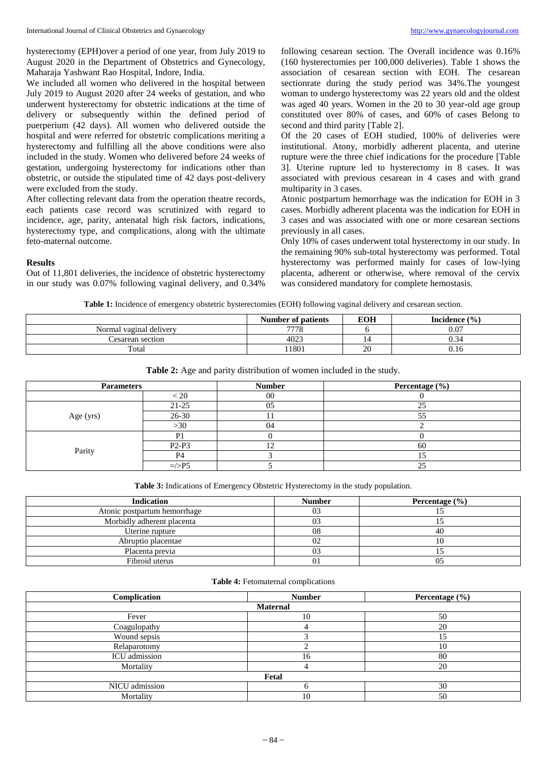hysterectomy (EPH)over a period of one year, from July 2019 to August 2020 in the Department of Obstetrics and Gynecology, Maharaja Yashwant Rao Hospital, Indore, India.

We included all women who delivered in the hospital between July 2019 to August 2020 after 24 weeks of gestation, and who underwent hysterectomy for obstetric indications at the time of delivery or subsequently within the defined period of puerperium (42 days). All women who delivered outside the hospital and were referred for obstetric complications meriting a hysterectomy and fulfilling all the above conditions were also included in the study. Women who delivered before 24 weeks of gestation, undergoing hysterectomy for indications other than obstetric, or outside the stipulated time of 42 days post-delivery were excluded from the study.

After collecting relevant data from the operation theatre records, each patients case record was scrutinized with regard to incidence, age, parity, antenatal high risk factors, indications, hysterectomy type, and complications, along with the ultimate feto-maternal outcome.

**Results**

Out of 11,801 deliveries, the incidence of obstetric hysterectomy in our study was 0.07% following vaginal delivery, and 0.34% following cesarean section. The Overall incidence was 0.16% (160 hysterectomies per 100,000 deliveries). Table 1 shows the association of cesarean section with EOH. The cesarean sectionrate during the study period was 34%.The youngest woman to undergo hysterectomy was 22 years old and the oldest was aged 40 years. Women in the 20 to 30 year-old age group constituted over 80% of cases, and 60% of cases Belong to second and third parity [Table 2].

Of the 20 cases of EOH studied, 100% of deliveries were institutional. Atony, morbidly adherent placenta, and uterine rupture were the three chief indications for the procedure [Table 3]. Uterine rupture led to hysterectomy in 8 cases. It was associated with previous cesarean in 4 cases and with grand multiparity in 3 cases.

Atonic postpartum hemorrhage was the indication for EOH in 3 cases. Morbidly adherent placenta was the indication for EOH in 3 cases and was associated with one or more cesarean sections previously in all cases.

Only 10% of cases underwent total hysterectomy in our study. In the remaining 90% sub-total hysterectomy was performed. Total hysterectomy was performed mainly for cases of low-lying placenta, adherent or otherwise, where removal of the cervix was considered mandatory for complete hemostasis.

**Table 1:** Incidence of emergency obstetric hysterectomies (EOH) following vaginal delivery and cesarean section.

|                         | <b>Number of patients</b> | <b>EOH</b> | (9/6)<br><b>Incidence</b> |
|-------------------------|---------------------------|------------|---------------------------|
| Normal vaginal delivery | 7770<br>78                |            | 0.07                      |
| Cesarean section        | 4023                      |            | $\sim$<br>34. ن           |
| Total                   | 1801                      | 20         | U. 16                     |

#### **Table 2:** Age and parity distribution of women included in the study.

| <b>Parameters</b> |                | <b>Number</b> | Percentage $(\% )$ |
|-------------------|----------------|---------------|--------------------|
|                   | < 20           | 00            |                    |
|                   | $21-25$        |               | າເ                 |
| Age (yrs)         | 26-30          |               |                    |
|                   | >30            | 04            |                    |
|                   | Ρ1             |               |                    |
|                   | $P2-P3$        | ┸             | 60                 |
| Parity            | P <sub>4</sub> |               |                    |
|                   | $=\sup\{5\}$   |               | າເ                 |

**Table 3:** Indications of Emergency Obstetric Hysterectomy in the study population.

| <b>Indication</b>            | <b>Number</b> | Percentage $(\% )$ |
|------------------------------|---------------|--------------------|
| Atonic postpartum hemorrhage |               |                    |
| Morbidly adherent placenta   |               |                    |
| Uterine rupture              | 08            | 40                 |
| Abruptio placentae           |               | 10                 |
| Placenta previa              |               |                    |
| Fibroid uterus               |               | 05                 |

#### **Table 4:** Fetomaternal complications

| Complication   | <b>Number</b>   | Percentage (%) |
|----------------|-----------------|----------------|
|                |                 |                |
|                | <b>Maternal</b> |                |
| Fever          | 10              | 50             |
| Coagulopathy   |                 | 20             |
| Wound sepsis   |                 |                |
| Relaparotomy   |                 | 10             |
| ICU admission  | 16              | 80             |
| Mortality      |                 | 20             |
|                | Fetal           |                |
| NICU admission | o               | 30             |
| Mortality      | 10              | 50             |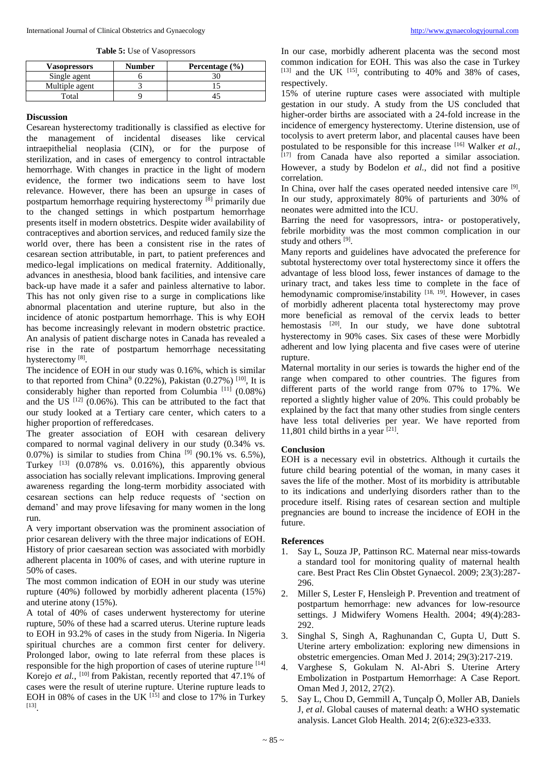**Table 5:** Use of Vasopressors

| Vasopressors   | <b>Number</b> | Percentage $(\% )$ |
|----------------|---------------|--------------------|
| Single agent   |               |                    |
| Multiple agent |               |                    |
| Total          |               |                    |

# **Discussion**

Cesarean hysterectomy traditionally is classified as elective for the management of incidental diseases like cervical intraepithelial neoplasia (CIN), or for the purpose of sterilization, and in cases of emergency to control intractable hemorrhage. With changes in practice in the light of modern evidence, the former two indications seem to have lost relevance. However, there has been an upsurge in cases of postpartum hemorrhage requiring hysterectomy [8] primarily due to the changed settings in which postpartum hemorrhage presents itself in modern obstetrics. Despite wider availability of contraceptives and abortion services, and reduced family size the world over, there has been a consistent rise in the rates of cesarean section attributable, in part, to patient preferences and medico-legal implications on medical fraternity. Additionally, advances in anesthesia, blood bank facilities, and intensive care back-up have made it a safer and painless alternative to labor. This has not only given rise to a surge in complications like abnormal placentation and uterine rupture, but also in the incidence of atonic postpartum hemorrhage. This is why EOH has become increasingly relevant in modern obstetric practice. An analysis of patient discharge notes in Canada has revealed a rise in the rate of postpartum hemorrhage necessitating hysterectomy<sup>[8]</sup>.

The incidence of EOH in our study was 0.16%, which is similar to that reported from China<sup>9</sup> (0.22%), Pakistan (0.27%) <sup>[10]</sup>, It is considerably higher than reported from Columbia  $^{[11]}$  (0.08%) and the US  $^{[12]}$  (0.06%). This can be attributed to the fact that our study looked at a Tertiary care center, which caters to a higher proportion of refferedcases.

The greater association of EOH with cesarean delivery compared to normal vaginal delivery in our study (0.34% vs. 0.07%) is similar to studies from China  $^{[9]}$  (90.1% vs. 6.5%), Turkey  $^{[13]}$  (0.078% vs. 0.016%), this apparently obvious association has socially relevant implications. Improving general awareness regarding the long-term morbidity associated with cesarean sections can help reduce requests of 'section on demand' and may prove lifesaving for many women in the long run.

A very important observation was the prominent association of prior cesarean delivery with the three major indications of EOH. History of prior caesarean section was associated with morbidly adherent placenta in 100% of cases, and with uterine rupture in 50% of cases.

The most common indication of EOH in our study was uterine rupture (40%) followed by morbidly adherent placenta (15%) and uterine atony (15%).

A total of 40% of cases underwent hysterectomy for uterine rupture, 50% of these had a scarred uterus. Uterine rupture leads to EOH in 93.2% of cases in the study from Nigeria. In Nigeria spiritual churches are a common first center for delivery. Prolonged labor, owing to late referral from these places is responsible for the high proportion of cases of uterine rupture [14] Korejo et al., <sup>[10]</sup> from Pakistan, recently reported that 47.1% of cases were the result of uterine rupture. Uterine rupture leads to EOH in 08% of cases in the UK  $^{[15]}$  and close to 17% in Turkey [13] .

In our case, morbidly adherent placenta was the second most common indication for EOH. This was also the case in Turkey  $[13]$  and the UK  $[15]$ , contributing to 40% and 38% of cases, respectively.

15% of uterine rupture cases were associated with multiple gestation in our study. A study from the US concluded that higher-order births are associated with a 24-fold increase in the incidence of emergency hysterectomy. Uterine distension, use of tocolysis to avert preterm labor, and placental causes have been postulated to be responsible for this increase [16] Walker *et al.*, [17] from Canada have also reported a similar association. However, a study by Bodelon *et al.*, did not find a positive correlation.

In China, over half the cases operated needed intensive care [9]. In our study, approximately 80% of parturients and 30% of neonates were admitted into the ICU.

Barring the need for vasopressors, intra- or postoperatively, febrile morbidity was the most common complication in our study and others [9].

Many reports and guidelines have advocated the preference for subtotal hysterectomy over total hysterectomy since it offers the advantage of less blood loss, fewer instances of damage to the urinary tract, and takes less time to complete in the face of hemodynamic compromise/instability [18, 19]. However, in cases of morbidly adherent placenta total hysterectomy may prove more beneficial as removal of the cervix leads to better hemostasis <sup>[20]</sup>. In our study, we have done subtotral hysterectomy in 90% cases. Six cases of these were Morbidly adherent and low lying placenta and five cases were of uterine rupture.

Maternal mortality in our series is towards the higher end of the range when compared to other countries. The figures from different parts of the world range from 07% to 17%. We reported a slightly higher value of 20%. This could probably be explained by the fact that many other studies from single centers have less total deliveries per year. We have reported from 11,801 child births in a year  $[21]$ .

# **Conclusion**

EOH is a necessary evil in obstetrics. Although it curtails the future child bearing potential of the woman, in many cases it saves the life of the mother. Most of its morbidity is attributable to its indications and underlying disorders rather than to the procedure itself. Rising rates of cesarean section and multiple pregnancies are bound to increase the incidence of EOH in the future.

#### **References**

- 1. Say L, Souza JP, Pattinson RC. Maternal near miss-towards a standard tool for monitoring quality of maternal health care. Best Pract Res Clin Obstet Gynaecol. 2009; 23(3):287- 296.
- 2. Miller S, Lester F, Hensleigh P. Prevention and treatment of postpartum hemorrhage: new advances for low-resource settings. J Midwifery Womens Health. 2004; 49(4):283- 292.
- 3. Singhal S, Singh A, Raghunandan C, Gupta U, Dutt S. Uterine artery embolization: exploring new dimensions in obstetric emergencies. Oman Med J. 2014; 29(3):217-219.
- 4. Varghese S, Gokulam N. Al-Abri S. Uterine Artery Embolization in Postpartum Hemorrhage: A Case Report. Oman Med J, 2012, 27(2).
- 5. Say L, Chou D, Gemmill A, Tunçalp Ö, Moller AB, Daniels J, *et al*. Global causes of maternal death: a WHO systematic analysis. Lancet Glob Health. 2014; 2(6):e323-e333.